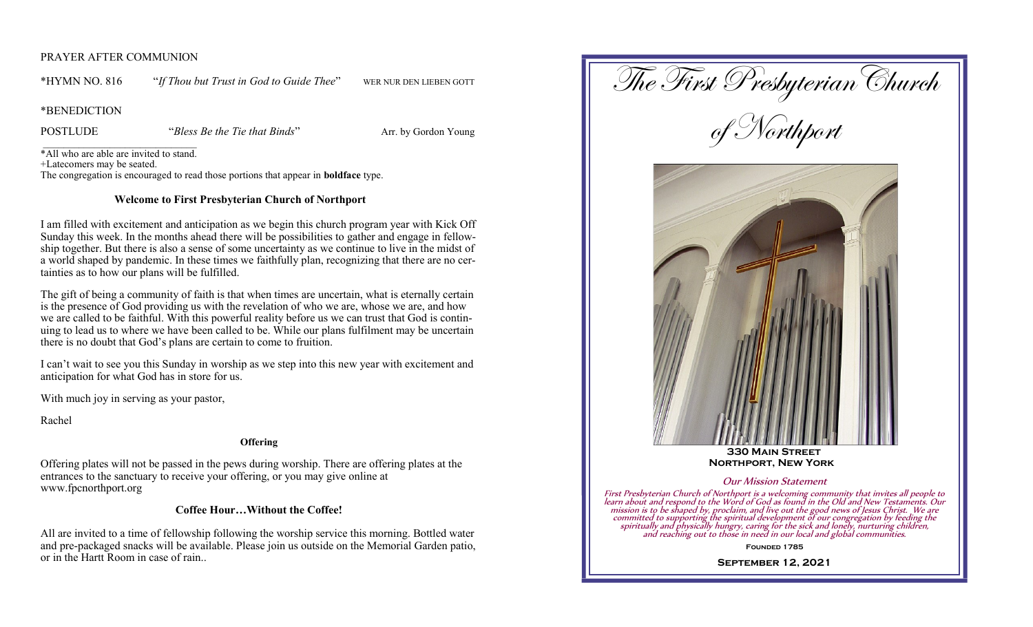### PRAYER AFTER COMMUNION

\*HYMN NO. 816 "*If Thou but Trust in God to Guide Thee*" WER NUR DEN LIEBEN GOTT

\*BENEDICTION

POSTLUDE "*Bless Be the Tie that Binds*" Arr. by Gordon Young

 $\mathcal{L}_\text{max}$  , where  $\mathcal{L}_\text{max}$  and  $\mathcal{L}_\text{max}$ \*All who are able are invited to stand.

+Latecomers may be seated.

The congregation is encouraged to read those portions that appear in **boldface** type.

#### **Welcome to First Presbyterian Church of Northport**

I am filled with excitement and anticipation as we begin this church program year with Kick Off Sunday this week. In the months ahead there will be possibilities to gather and engage in fellowship together. But there is also a sense of some uncertainty as we continue to live in the midst of a world shaped by pandemic. In these times we faithfully plan, recognizing that there are no certainties as to how our plans will be fulfilled.

The gift of being a community of faith is that when times are uncertain, what is eternally certain is the presence of God providing us with the revelation of who we are, whose we are, and how we are called to be faithful. With this powerful reality before us we can trust that God is continuing to lead us to where we have been called to be. While our plans fulfilment may be uncertain there is no doubt that God's plans are certain to come to fruition.

I can't wait to see you this Sunday in worship as we step into this new year with excitement and anticipation for what God has in store for us.

With much joy in serving as your pastor,

Rachel

#### **Offering**

Offering plates will not be passed in the pews during worship. There are offering plates at the entrances to the sanctuary to receive your offering, or you may give online at www.fpcnorthport.org

## **Coffee Hour…Without the Coffee!**

All are invited to a time of fellowship following the worship service this morning. Bottled water and pre-packaged snacks will be available. Please join us outside on the Memorial Garden patio, or in the Hartt Room in case of rain..



**Founded 1785**

**September 12, 2021**